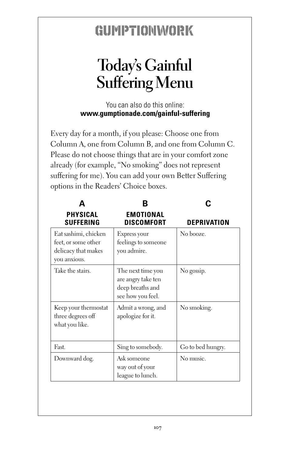## GUMPTIONWORK

## **Today's Gainful Suffering Menu**

You can also do this online: **www.gumptionade.com/gainful-suffering**

Every day for a month, if you please: Choose one from Column A, one from Column B, and one from Column C. Please do not choose things that are in your comfort zone already (for example, "No smoking" does not represent suffering for me). You can add your own Better Suffering options in the Readers' Choice boxes.

| <b>PHYSICAL</b><br><b>SUFFERING</b>                                                | <b>EMOTIONAL</b><br><b>DISCOMFORT</b>                                            | DEPRIVATION       |
|------------------------------------------------------------------------------------|----------------------------------------------------------------------------------|-------------------|
| Eat sashimi, chicken<br>feet, or some other<br>delicacy that makes<br>you anxious. | Express your<br>feelings to someone<br>you admire.                               | No booze.         |
| Take the stairs.                                                                   | The next time you<br>are angry take ten<br>deep breaths and<br>see how you feel. | No gossip.        |
| Keep your thermostat<br>three degrees off<br>what you like.                        | Admit a wrong, and<br>apologize for it.                                          | No smoking.       |
| Fast.                                                                              | Sing to somebody.                                                                | Go to bed hungry. |
| Downward dog.                                                                      | Ask someone<br>way out of your<br>league to lunch.                               | No music.         |